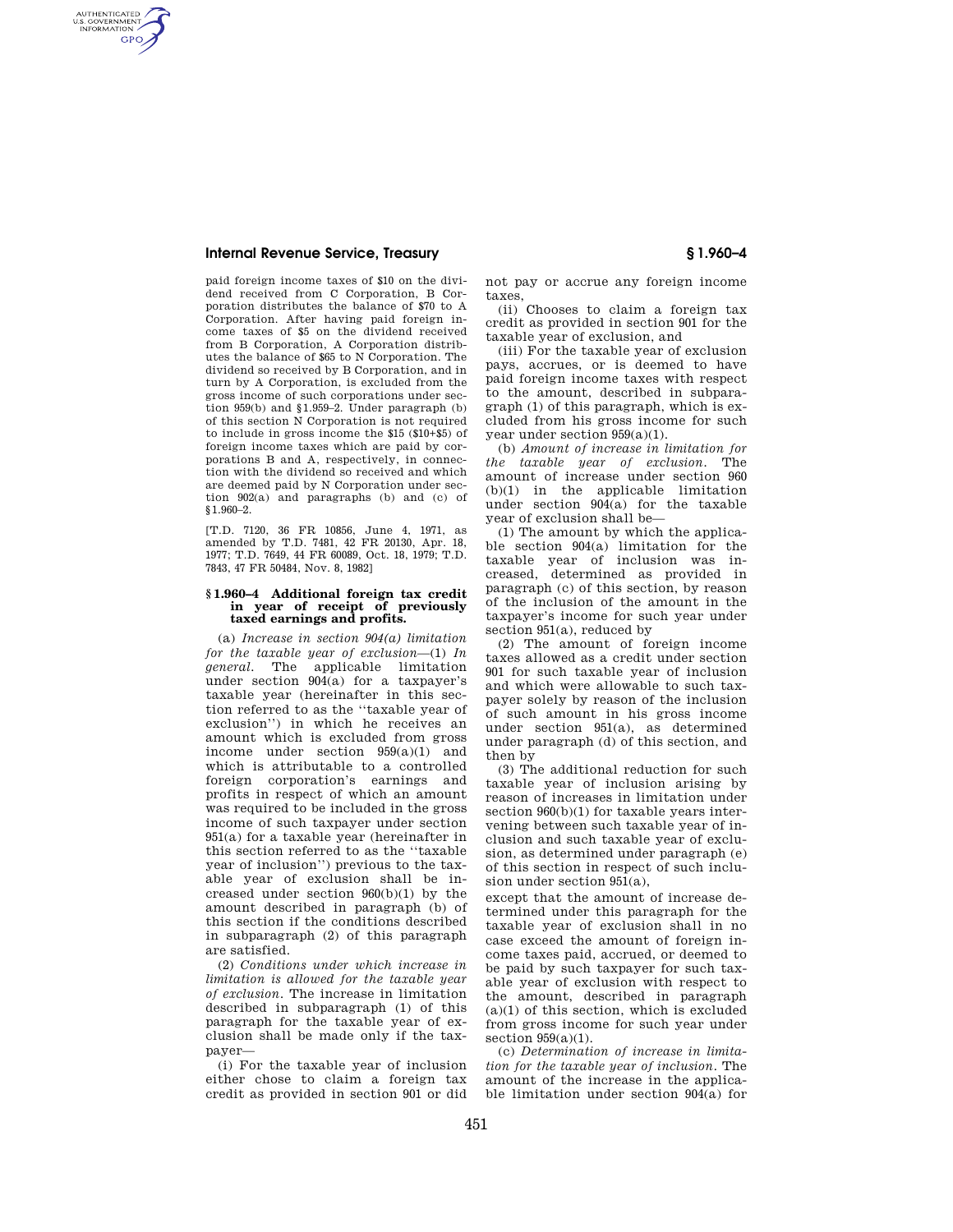### **Internal Revenue Service, Treasury § 1.960–4**

AUTHENTICATED<br>U.S. GOVERNMENT<br>INFORMATION **GPO** 

> paid foreign income taxes of \$10 on the dividend received from C Corporation, B Corporation distributes the balance of \$70 to A Corporation. After having paid foreign income taxes of \$5 on the dividend received from B Corporation, A Corporation distributes the balance of \$65 to N Corporation. The dividend so received by B Corporation, and in turn by A Corporation, is excluded from the gross income of such corporations under section 959(b) and §1.959–2. Under paragraph (b) of this section N Corporation is not required to include in gross income the \$15 (\$10+\$5) of foreign income taxes which are paid by corporations B and A, respectively, in connection with the dividend so received and which are deemed paid by N Corporation under section 902(a) and paragraphs (b) and (c) of §1.960–2.

> [T.D. 7120, 36 FR 10856, June 4, 1971, as amended by T.D. 7481, 42 FR 20130, Apr. 18, 1977; T.D. 7649, 44 FR 60089, Oct. 18, 1979; T.D. 7843, 47 FR 50484, Nov. 8, 1982]

### **§ 1.960–4 Additional foreign tax credit in year of receipt of previously taxed earnings and profits.**

(a) *Increase in section 904(a) limitation for the taxable year of exclusion*—(1) *In general.* The applicable limitation under section 904(a) for a taxpayer's taxable year (hereinafter in this section referred to as the ''taxable year of exclusion'') in which he receives an amount which is excluded from gross income under section 959(a)(1) and which is attributable to a controlled foreign corporation's earnings and profits in respect of which an amount was required to be included in the gross income of such taxpayer under section 951(a) for a taxable year (hereinafter in this section referred to as the ''taxable year of inclusion'') previous to the taxable year of exclusion shall be increased under section 960(b)(1) by the amount described in paragraph (b) of this section if the conditions described in subparagraph (2) of this paragraph are satisfied.

(2) *Conditions under which increase in limitation is allowed for the taxable year of exclusion.* The increase in limitation described in subparagraph (1) of this paragraph for the taxable year of exclusion shall be made only if the taxpayer—

(i) For the taxable year of inclusion either chose to claim a foreign tax credit as provided in section 901 or did not pay or accrue any foreign income taxes,

(ii) Chooses to claim a foreign tax credit as provided in section 901 for the taxable year of exclusion, and

(iii) For the taxable year of exclusion pays, accrues, or is deemed to have paid foreign income taxes with respect to the amount, described in subparagraph (1) of this paragraph, which is excluded from his gross income for such year under section 959(a)(1).

(b) *Amount of increase in limitation for the taxable year of exclusion.* The amount of increase under section 960 (b)(1) in the applicable limitation under section 904(a) for the taxable year of exclusion shall be—

(1) The amount by which the applicable section 904(a) limitation for the taxable year of inclusion was increased, determined as provided in paragraph (c) of this section, by reason of the inclusion of the amount in the taxpayer's income for such year under section 951(a), reduced by

(2) The amount of foreign income taxes allowed as a credit under section 901 for such taxable year of inclusion and which were allowable to such taxpayer solely by reason of the inclusion of such amount in his gross income under section 951(a), as determined under paragraph (d) of this section, and then by

(3) The additional reduction for such taxable year of inclusion arising by reason of increases in limitation under section  $960(b)(1)$  for taxable years intervening between such taxable year of inclusion and such taxable year of exclusion, as determined under paragraph (e) of this section in respect of such inclusion under section 951(a),

except that the amount of increase determined under this paragraph for the taxable year of exclusion shall in no case exceed the amount of foreign income taxes paid, accrued, or deemed to be paid by such taxpayer for such taxable year of exclusion with respect to the amount, described in paragraph  $(a)(1)$  of this section, which is excluded from gross income for such year under section  $959(a)(1)$ .

(c) *Determination of increase in limitation for the taxable year of inclusion.* The amount of the increase in the applicable limitation under section 904(a) for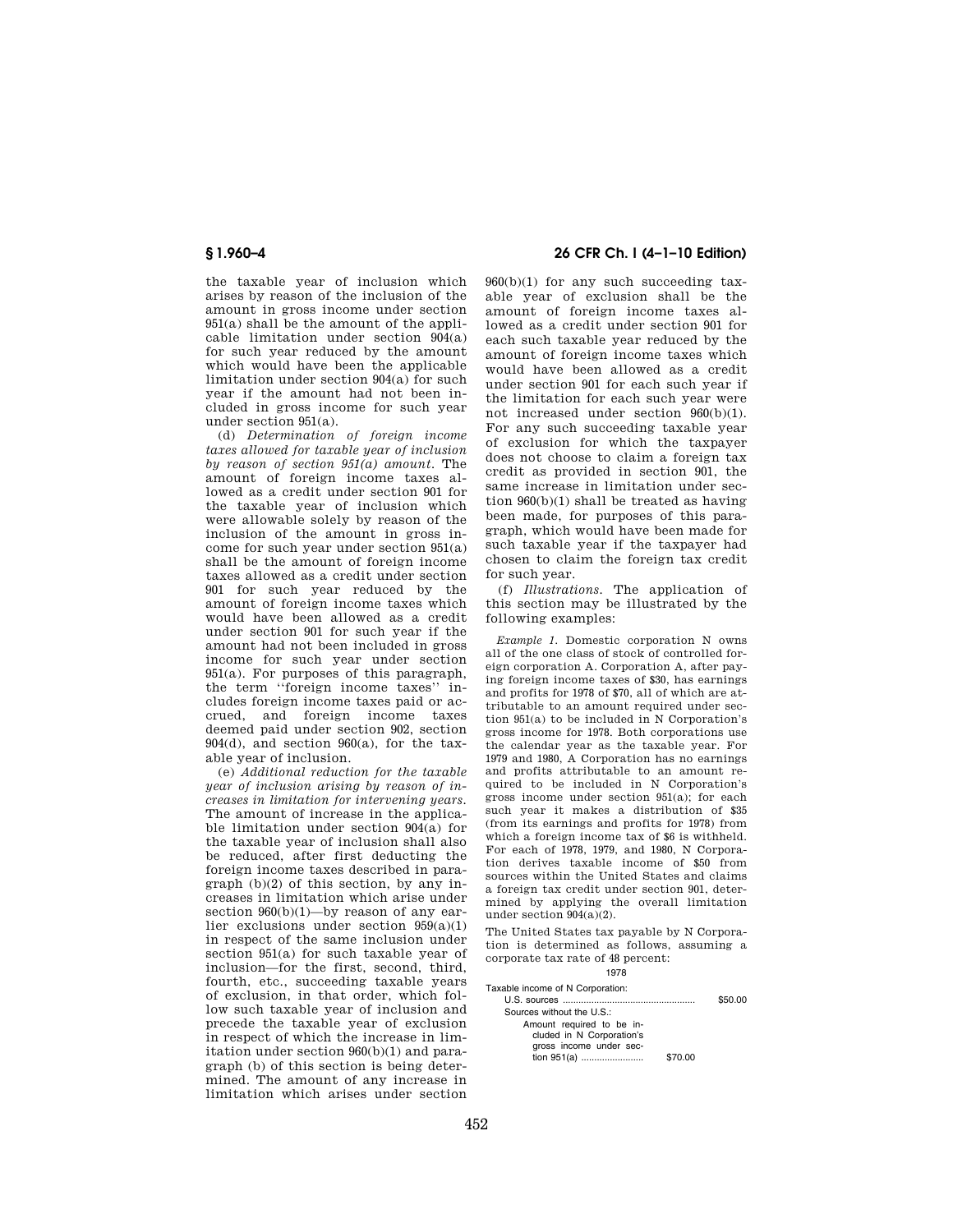the taxable year of inclusion which arises by reason of the inclusion of the amount in gross income under section 951(a) shall be the amount of the applicable limitation under section 904(a) for such year reduced by the amount which would have been the applicable limitation under section 904(a) for such year if the amount had not been included in gross income for such year under section 951(a).

(d) *Determination of foreign income taxes allowed for taxable year of inclusion by reason of section 951(a) amount.* The amount of foreign income taxes allowed as a credit under section 901 for the taxable year of inclusion which were allowable solely by reason of the inclusion of the amount in gross income for such year under section 951(a) shall be the amount of foreign income taxes allowed as a credit under section 901 for such year reduced by the amount of foreign income taxes which would have been allowed as a credit under section 901 for such year if the amount had not been included in gross income for such year under section 951(a). For purposes of this paragraph, the term ''foreign income taxes'' includes foreign income taxes paid or accrued, and foreign income taxes deemed paid under section 902, section  $904(d)$ , and section  $960(a)$ , for the taxable year of inclusion.

(e) *Additional reduction for the taxable year of inclusion arising by reason of increases in limitation for intervening years.*  The amount of increase in the applicable limitation under section  $904(a)$  for the taxable year of inclusion shall also be reduced, after first deducting the foreign income taxes described in paragraph  $(b)(2)$  of this section, by any increases in limitation which arise under section  $960(b)(1)$ —by reason of any earlier exclusions under section 959(a)(1) in respect of the same inclusion under section 951(a) for such taxable year of inclusion—for the first, second, third, fourth, etc., succeeding taxable years of exclusion, in that order, which follow such taxable year of inclusion and precede the taxable year of exclusion in respect of which the increase in limitation under section 960(b)(1) and paragraph (b) of this section is being determined. The amount of any increase in limitation which arises under section

# **§ 1.960–4 26 CFR Ch. I (4–1–10 Edition)**

 $960(b)(1)$  for any such succeeding taxable year of exclusion shall be the amount of foreign income taxes allowed as a credit under section 901 for each such taxable year reduced by the amount of foreign income taxes which would have been allowed as a credit under section 901 for each such year if the limitation for each such year were not increased under section 960(b)(1). For any such succeeding taxable year of exclusion for which the taxpayer does not choose to claim a foreign tax credit as provided in section 901, the same increase in limitation under section 960(b)(1) shall be treated as having been made, for purposes of this paragraph, which would have been made for such taxable year if the taxpayer had chosen to claim the foreign tax credit for such year.

(f) *Illustrations.* The application of this section may be illustrated by the following examples:

*Example 1.* Domestic corporation N owns all of the one class of stock of controlled foreign corporation A. Corporation A, after paying foreign income taxes of \$30, has earnings and profits for 1978 of \$70, all of which are attributable to an amount required under section 951(a) to be included in N Corporation's gross income for 1978. Both corporations use the calendar year as the taxable year. For 1979 and 1980, A Corporation has no earnings and profits attributable to an amount required to be included in N Corporation's gross income under section 951(a); for each such year it makes a distribution of \$35 (from its earnings and profits for 1978) from which a foreign income tax of \$6 is withheld. For each of 1978, 1979, and 1980, N Corporation derives taxable income of \$50 from sources within the United States and claims a foreign tax credit under section 901, determined by applying the overall limitation under section 904(a)(2).

The United States tax payable by N Corporation is determined as follows, assuming a corporate tax rate of 48 percent: 1978

Taxable income of N Corporation:

|                           | \$50.00 |
|---------------------------|---------|
| Sources without the U.S.: |         |
| Amount required to be in- |         |
| cluded in N Corporation's |         |
|                           |         |
| \$70.00                   |         |
| gross income under sec-   |         |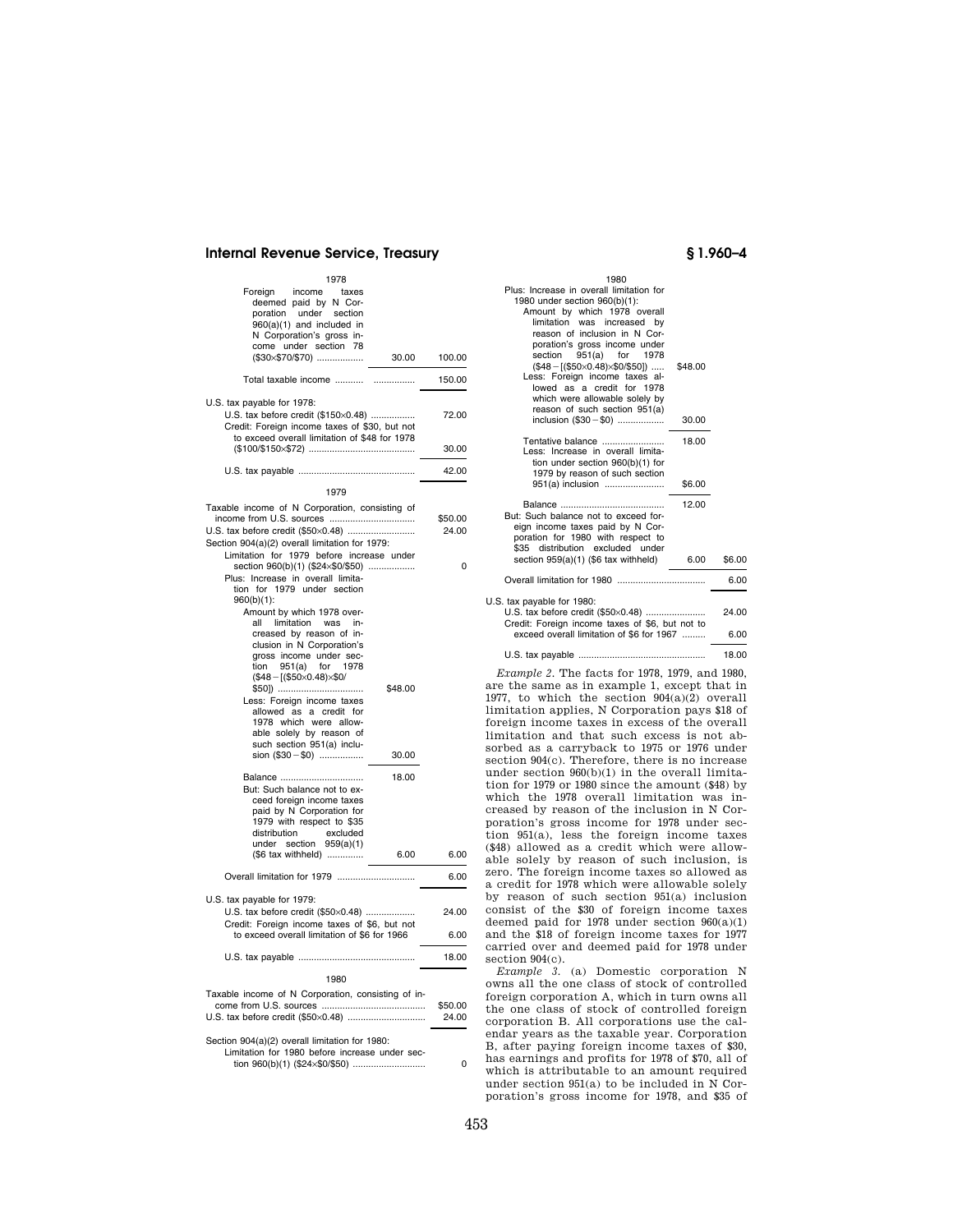## **Internal Revenue Service, Treasury § 1.960–4**

| 1978                                                                                                   |       |        |
|--------------------------------------------------------------------------------------------------------|-------|--------|
| Foreign income taxes<br>deemed paid by N Cor-<br>poration under section<br>$960(a)(1)$ and included in |       |        |
| N Corporation's gross in-<br>come under section 78                                                     |       |        |
| (\$30×\$70/\$70)                                                                                       | 30.00 | 100.00 |
|                                                                                                        |       | 150.00 |
| U.S. tax payable for 1978:                                                                             |       |        |
| U.S. tax before credit (\$150×0.48)                                                                    |       | 72.00  |
| Credit: Foreign income taxes of \$30, but not                                                          |       |        |
| to exceed overall limitation of \$48 for 1978                                                          |       | 30.00  |
|                                                                                                        |       | 42.00  |
| 1979                                                                                                   |       |        |

| Taxable income of N Corporation, consisting of     |         | \$50.00  |
|----------------------------------------------------|---------|----------|
| U.S. tax before credit (\$50×0.48)                 | 24.00   |          |
| Section 904(a)(2) overall limitation for 1979:     |         |          |
| Limitation for 1979 before increase under          |         |          |
| section 960(b)(1) (\$24×\$0/\$50)                  |         | $\Omega$ |
| Plus: Increase in overall limita-                  |         |          |
| tion for 1979 under section                        |         |          |
| $960(b)(1)$ :                                      |         |          |
| Amount by which 1978 over-                         |         |          |
| limitation<br>all<br>was<br>in-                    |         |          |
| creased by reason of in-                           |         |          |
| clusion in N Corporation's                         |         |          |
| gross income under sec-                            |         |          |
| tion 951(a) for 1978                               |         |          |
| $($48 - [($50 \times 0.48) \times $0/$             |         |          |
| \$50])                                             | \$48.00 |          |
| Less: Foreign income taxes                         |         |          |
| allowed as a credit for                            |         |          |
| 1978 which were allow-                             |         |          |
| able solely by reason of                           |         |          |
| such section 951(a) inclu-                         |         |          |
| sion (\$30 - \$0)                                  | 30.00   |          |
|                                                    |         |          |
| Balance                                            | 18.00   |          |
| But: Such balance not to ex-                       |         |          |
| ceed foreign income taxes                          |         |          |
| paid by N Corporation for                          |         |          |
| 1979 with respect to \$35                          |         |          |
| distribution<br>excluded                           |         |          |
| under section 959(a)(1)                            |         |          |
| (\$6 tax withheld)                                 | 6.00    | 6.00     |
|                                                    |         | 6.00     |
|                                                    |         |          |
| U.S. tax payable for 1979:                         |         |          |
| U.S. tax before credit (\$50×0.48)                 |         | 24.00    |
| Credit: Foreign income taxes of \$6, but not       |         |          |
| to exceed overall limitation of \$6 for 1966       |         | 6.00     |
|                                                    |         | 18.00    |
|                                                    |         |          |
| 1980                                               |         |          |
| Taxable income of N Corporation, consisting of in- |         |          |
|                                                    |         | \$50.00  |
|                                                    |         | 24.00    |
|                                                    |         |          |
| Section 904(a)(2) overall limitation for 1980:     |         |          |
| Limitation for 1980 before increase under sec-     |         |          |
|                                                    |         | 0        |
|                                                    |         |          |

|                            | 1980                                                                      |         |        |
|----------------------------|---------------------------------------------------------------------------|---------|--------|
|                            | Plus: Increase in overall limitation for<br>1980 under section 960(b)(1): |         |        |
|                            | Amount by which 1978 overall                                              |         |        |
|                            | limitation was increased by                                               |         |        |
|                            | reason of inclusion in N Cor-                                             |         |        |
|                            | poration's gross income under                                             |         |        |
| section                    | 951(a) for 1978                                                           |         |        |
|                            | $($48 - [($50 \times 0.48) \times $0$/$50])$                              | \$48.00 |        |
|                            | Less: Foreign income taxes al-                                            |         |        |
|                            | lowed as a credit for 1978                                                |         |        |
|                            | which were allowable solely by                                            |         |        |
|                            | reason of such section 951(a)                                             |         |        |
|                            | inclusion (\$30 - \$0)                                                    | 30.00   |        |
|                            | Tentative balance                                                         | 18.00   |        |
|                            | Less: Increase in overall limita-                                         |         |        |
|                            | tion under section $960(b)(1)$ for                                        |         |        |
|                            | 1979 by reason of such section                                            |         |        |
|                            | 951(a) inclusion                                                          | \$6.00  |        |
|                            |                                                                           | 12.00   |        |
|                            | But: Such balance not to exceed for-                                      |         |        |
|                            | eign income taxes paid by N Cor-                                          |         |        |
|                            | poration for 1980 with respect to                                         |         |        |
|                            | \$35 distribution excluded under                                          |         |        |
|                            | section 959(a)(1) (\$6 tax withheld)                                      | 6.00    | \$6.00 |
|                            |                                                                           |         | 6.00   |
|                            |                                                                           |         |        |
| U.S. tax payable for 1980: | U.S. tax before credit (\$50×0.48)                                        |         | 24.00  |
|                            | Credit: Foreign income taxes of \$6, but not to                           |         |        |
|                            | exceed overall limitation of \$6 for 1967                                 |         | 6.00   |
|                            |                                                                           |         |        |
|                            |                                                                           |         | 18.00  |

*Example 2.* The facts for 1978, 1979, and 1980, are the same as in example 1, except that in 1977, to which the section  $904(a)(2)$  overall limitation applies, N Corporation pays \$18 of foreign income taxes in excess of the overall limitation and that such excess is not absorbed as a carryback to 1975 or 1976 under section 904(c). Therefore, there is no increase under section 960(b)(1) in the overall limitation for 1979 or 1980 since the amount (\$48) by which the 1978 overall limitation was increased by reason of the inclusion in N Corporation's gross income for 1978 under section 951(a), less the foreign income taxes (\$48) allowed as a credit which were allowable solely by reason of such inclusion, is zero. The foreign income taxes so allowed as a credit for 1978 which were allowable solely by reason of such section 951(a) inclusion consist of the \$30 of foreign income taxes deemed paid for 1978 under section 960(a)(1) and the \$18 of foreign income taxes for 1977 carried over and deemed paid for 1978 under section 904(c).

*Example 3.* (a) Domestic corporation N owns all the one class of stock of controlled foreign corporation A, which in turn owns all the one class of stock of controlled foreign corporation B. All corporations use the calendar years as the taxable year. Corporation B, after paying foreign income taxes of \$30, has earnings and profits for 1978 of \$70, all of which is attributable to an amount required under section 951(a) to be included in N Corporation's gross income for 1978, and \$35 of